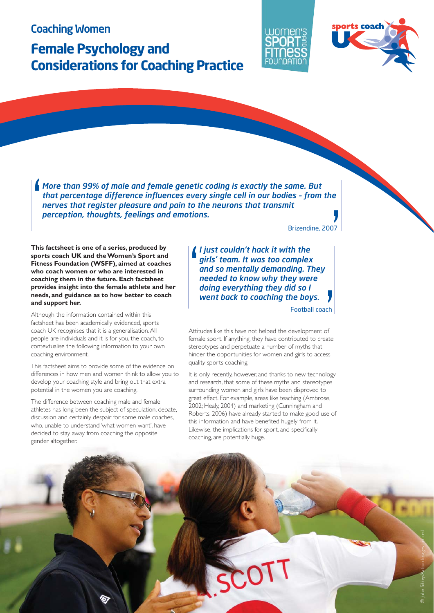



*More than 99% of male and female genetic coding is exactly the same. But that percentage difference influences every single cell in our bodies – from the nerves that register pleasure and pain to the neurons that transmit* **6** *perception, thoughts, feelings and emotions.*<br> *perception, thoughts, feelings and emotions.*<br> *Perception, thoughts, feelings and emotions.*<br> *Perception, thoughts, feelings and emotions.*<br> *Perception, thoughts, feeling* 

**This factsheet is one of a series, produced by sports coach UK and the Women's Sport and Fitness Foundation (WSFF), aimed at coaches who coach women or who are interested in coaching them in the future. Each factsheet provides insight into the female athlete and her needs, and guidance as to how better to coach and support her.**

Although the information contained within this factsheet has been academically evidenced, sports coach UK recognises that it is a generalisation. All people are individuals and it is for you, the coach, to contextualise the following information to your own coaching environment.

This factsheet aims to provide some of the evidence on differences in how men and women think to allow you to develop your coaching style and bring out that extra potential in the women you are coaching.

The difference between coaching male and female athletes has long been the subject of speculation, debate, discussion and certainly despair for some male coaches, who, unable to understand 'what women want', have decided to stay away from coaching the opposite gender altogether.

Brizendine, 2007

*I just couldn't hack it with the girls' team. It was too complex and so mentally demanding. They needed to know why they were doing everything they did so I went back to coaching the boys.* **6** 

Football coach

Attitudes like this have not helped the development of female sport. If anything, they have contributed to create stereotypes and perpetuate a number of myths that hinder the opportunities for women and girls to access quality sports coaching. **I**<br> **I**<br>
of<br>
Pate

It is only recently, however, and thanks to new technology and research, that some of these myths and stereotypes surrounding women and girls have been disproved to great effect. For example, areas like teaching (Ambrose, 2002; Healy, 2004) and marketing (Cunningham and Roberts, 2006) have already started to make good use of this information and have benefited hugely from it. Likewise, the implications for sport, and specifically coaching, are potentially huge.

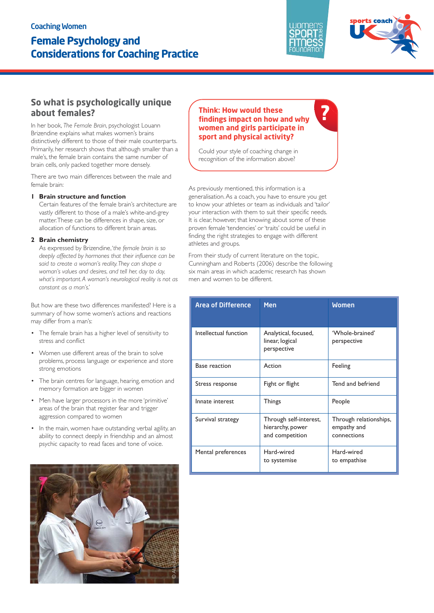

**?**



# **So what is psychologically unique about females?**

In her book, *The Female Brain*, psychologist Louann Brizendine explains what makes women's brains distinctively different to those of their male counterparts. Primarily, her research shows that although smaller than a male's, the female brain contains the same number of brain cells, only packed together more densely.

There are two main differences between the male and female brain:

#### **1 Brain structure and function**

Certain features of the female brain's architecture are vastly different to those of a male's white-and-grey matter. These can be differences in shape, size, or allocation of functions to different brain areas.

#### **2 Brain chemistry**

As expressed by Brizendine, '*the female brain is so deeply affected by hormones that their influence can be said to create a woman's reality. They can shape a woman's values and desires, and tell her, day to day, what's important. A woman's neurological reality is not as constant as a man's*.'

But how are these two differences manifested? Here is a summary of how some women's actions and reactions may differ from a man's:

- The female brain has a higher level of sensitivity to stress and conflict
- Women use different areas of the brain to solve problems, process language or experience and store strong emotions
- The brain centres for language, hearing, emotion and memory formation are bigger in women
- Men have larger processors in the more 'primitive' areas of the brain that register fear and trigger aggression compared to women
- In the main, women have outstanding verbal agility, an ability to connect deeply in friendship and an almost psychic capacity to read faces and tone of voice.



### **Think: How would these findings impact on how and why women and girls participate in sport and physical activity?**

Could your style of coaching change in recognition of the information above?

As previously mentioned, this information is a generalisation. As a coach, you have to ensure you get to know your athletes or team as individuals and 'tailor' your interaction with them to suit their specific needs. It is clear, however, that knowing about some of these proven female 'tendencies' or 'traits' could be useful in finding the right strategies to engage with different athletes and groups.

From their study of current literature on the topic, Cunningham and Roberts (2006) describe the following six main areas in which academic research has shown men and women to be different.

| <b>Area of Difference</b> | <b>Men</b>                                                    | <b>Women</b>                                         |
|---------------------------|---------------------------------------------------------------|------------------------------------------------------|
| Intellectual function     | Analytical, focused,<br>linear, logical<br>perspective        | 'Whole-brained'<br>perspective                       |
| <b>Base reaction</b>      | Action                                                        | Feeling                                              |
| Stress response           | Fight or flight                                               | Tend and befriend                                    |
| Innate interest           | Things                                                        | People                                               |
| Survival strategy         | Through self-interest,<br>hierarchy, power<br>and competition | Through relationships,<br>empathy and<br>connections |
| Mental preferences        | Hard-wired<br>to systemise                                    | Hard-wired<br>to empathise                           |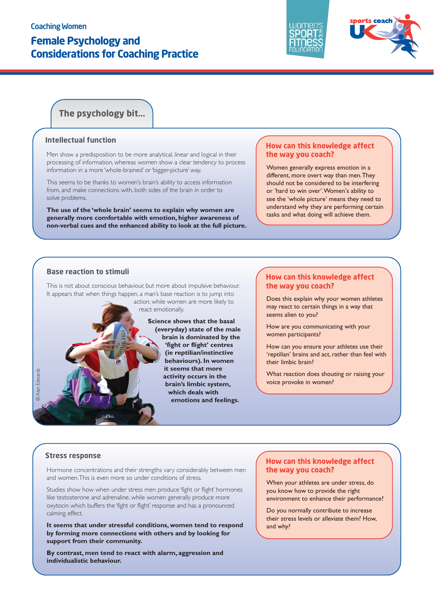



# **The psychology bit...**

#### **Intellectual function**

Men show a predisposition to be more analytical, linear and logical in their processing of information, whereas women show a clear tendency to process information in a more 'whole-brained' or 'bigger-picture' way.

This seems to be thanks to women's brain's ability to access information from, and make connections with, both sides of the brain in order to solve problems.

**The use of the 'whole brain' seems to explain why women are generally more comfortable with emotion, higher awareness of non-verbal cues and the enhanced ability to look at the full picture.** 

#### **How can this knowledge affect the way you coach?**

Women generally express emotion in a different, more overt way than men. They should not be considered to be interfering or 'hard to win over'. Women's ability to see the 'whole picture' means they need to understand why they are performing certain tasks and what doing will achieve them.

### **Base reaction to stimuli**

This is not about conscious behaviour, but more about impulsive behaviour. It appears that when things happen, a man's base reaction is to jump into

action, while women are more likely to react emotionally.

> **Science shows that the basal (everyday) state of the male brain is dominated by the 'fight or flight' centres (ie reptilian/instinctive behaviours). In women it seems that more activity occurs in the brain's limbic system, which deals with emotions and feelings.**

#### **How can this knowledge affect the way you coach?**

Does this explain why your women athletes may react to certain things in a way that seems alien to you?

How are you communicating with your women participants?

How can you ensure your athletes use their 'reptilian' brains and act, rather than feel with their limbic brain?

What reaction does shouting or raising your voice provoke in women?

#### **Stress response**

© Alan Edwards

**D** Alan Fdward

Hormone concentrations and their strengths vary considerably between men and women. This is even more so under conditions of stress.

Studies show how when under stress men produce 'fight or flight' hormones like testosterone and adrenaline, while women generally produce more oxytocin which buffers the 'fight or flight' response and has a pronounced calming effect.

**It seems that under stressful conditions, women tend to respond by forming more connections with others and by looking for support from their community.** 

**By contrast, men tend to react with alarm, aggression and individualistic behaviour.**

### **How can this knowledge affect the way you coach?**

When your athletes are under stress, do you know how to provide the right environment to enhance their performance?

Do you normally contribute to increase their stress levels or alleviate them? How, and why?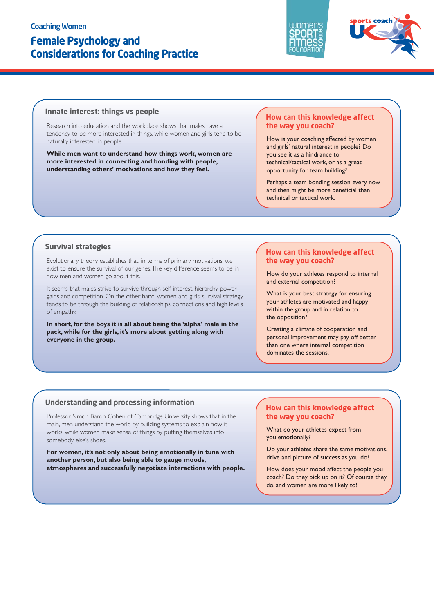



#### **Innate interest: things vs people**

Research into education and the workplace shows that males have a tendency to be more interested in things, while women and girls tend to be naturally interested in people.

**While men want to understand how things work, women are more interested in connecting and bonding with people, understanding others' motivations and how they feel.**

#### **How can this knowledge affect the way you coach?**

How is your coaching affected by women and girls' natural interest in people? Do you see it as a hindrance to technical/tactical work, or as a great opportunity for team building?

Perhaps a team bonding session every now and then might be more beneficial than technical or tactical work.

#### **Survival strategies**

Evolutionary theory establishes that, in terms of primary motivations, we exist to ensure the survival of our genes. The key difference seems to be in how men and women go about this.

It seems that males strive to survive through self-interest, hierarchy, power gains and competition. On the other hand, women and girls' survival strategy tends to be through the building of relationships, connections and high levels of empathy.

**In short, for the boys it is all about being the 'alpha' male in the pack, while for the girls, it's more about getting along with everyone in the group.**

#### **How can this knowledge affect the way you coach?**

How do your athletes respond to internal and external competition?

What is your best strategy for ensuring your athletes are motivated and happy within the group and in relation to the opposition?

Creating a climate of cooperation and personal improvement may pay off better than one where internal competition dominates the sessions.

#### **Understanding and processing information**

Professor Simon Baron-Cohen of Cambridge University shows that in the main, men understand the world by building systems to explain how it works, while women make sense of things by putting themselves into somebody else's shoes.

**For women, it's not only about being emotionally in tune with another person, but also being able to gauge moods, atmospheres and successfully negotiate interactions with people.** 

### **How can this knowledge affect the way you coach?**

What do your athletes expect from you emotionally?

Do your athletes share the same motivations, drive and picture of success as you do?

How does your mood affect the people you coach? Do they pick up on it? Of course they do, and women are more likely to!